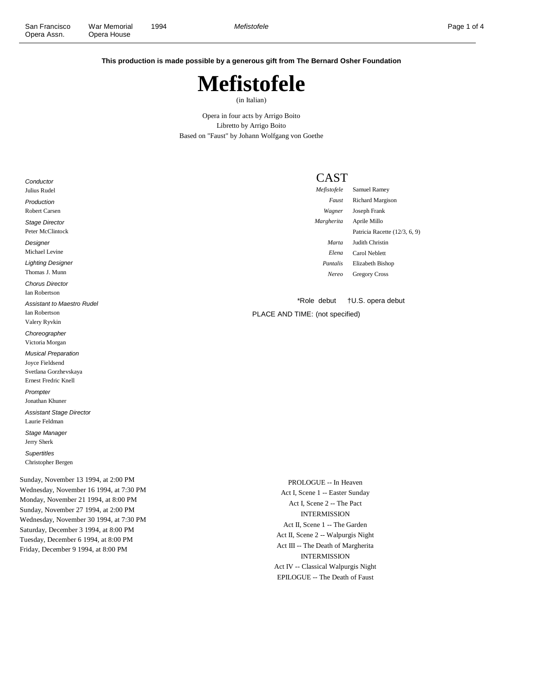**This production is made possible by a generous gift from The Bernard Osher Foundation**

## **Mefistofele**

(in Italian)

Opera in four acts by Arrigo Boito Libretto by Arrigo Boito Based on "Faust" by Johann Wolfgang von Goethe

## CAST

| Conductor                         | L GAJ       |                               |
|-----------------------------------|-------------|-------------------------------|
| Julius Rudel                      | Mefistofele | Samuel Ramey                  |
| Production                        | Faust       | <b>Richard Margison</b>       |
| <b>Robert Carsen</b>              | Wagner      | Joseph Frank                  |
| <b>Stage Director</b>             | Margherita  | Aprile Millo                  |
| Peter McClintock                  |             | Patricia Racette (12/3, 6, 9) |
| Designer                          | Marta       | Judith Christin               |
| Michael Levine                    | Elena       | Carol Neblett                 |
| <b>Lighting Designer</b>          | Pantalis    | Elizabeth Bishop              |
| Thomas J. Munn                    | Nereo       | <b>Gregory Cross</b>          |
| <b>Chorus Director</b>            |             |                               |
| Ian Robertson                     |             |                               |
| <b>Assistant to Maestro Rudel</b> | *Role debut | †U.S. opera debut             |

PLACE AND TIME: (not specified)

Sunday, November 13 1994, at 2:00 PM Wednesday, November 16 1994, at 7:30 PM Monday, November 21 1994, at 8:00 PM Sunday, November 27 1994, at 2:00 PM Wednesday, November 30 1994, at 7:30 PM Saturday, December 3 1994, at 8:00 PM Tuesday, December 6 1994, at 8:00 PM Friday, December 9 1994, at 8:00 PM

Ian Robertson Valery Ryvkin **Choreographer** Victoria Morgan Musical Preparation Joyce Fieldsend Svetlana Gorzhevskaya Ernest Fredric Knell Prompter Jonathan Khuner Assistant Stage Director Laurie Feldman Stage Manager Jerry Sherk **Supertitles** Christopher Bergen

> PROLOGUE -- In Heaven Act I, Scene 1 -- Easter Sunday Act I, Scene 2 -- The Pact INTERMISSION Act II, Scene 1 -- The Garden Act II, Scene 2 -- Walpurgis Night Act III -- The Death of Margherita INTERMISSION Act IV -- Classical Walpurgis Night EPILOGUE -- The Death of Faust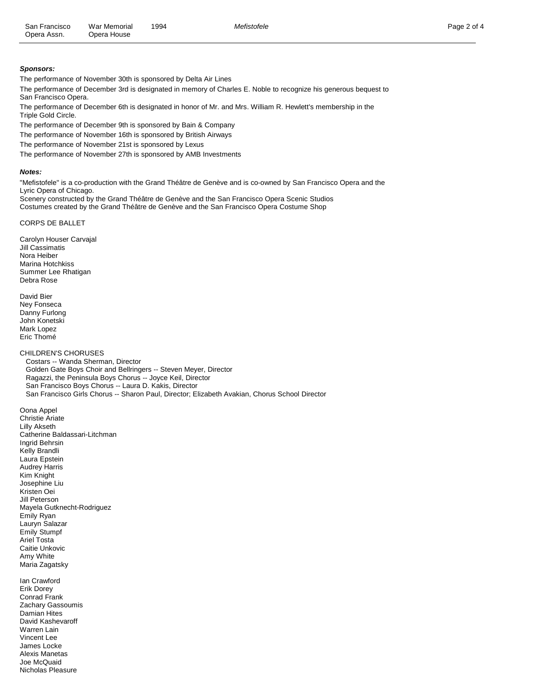## **Sponsors:**

The performance of November 30th is sponsored by Delta Air Lines

The performance of December 3rd is designated in memory of Charles E. Noble to recognize his generous bequest to San Francisco Opera.

The performance of December 6th is designated in honor of Mr. and Mrs. William R. Hewlett's membership in the Triple Gold Circle.

The performance of December 9th is sponsored by Bain & Company

The performance of November 16th is sponsored by British Airways

The performance of November 21st is sponsored by Lexus

The performance of November 27th is sponsored by AMB Investments

## **Notes:**

"Mefistofele" is a co-production with the Grand Théâtre de Genève and is co-owned by San Francisco Opera and the Lyric Opera of Chicago.

Scenery constructed by the Grand Théâtre de Genève and the San Francisco Opera Scenic Studios Costumes created by the Grand Théâtre de Genève and the San Francisco Opera Costume Shop

CORPS DE BALLET

Carolyn Houser Carvajal Jill Cassimatis Nora Heiber Marina Hotchkiss Summer Lee Rhatigan Debra Rose

David Bier Ney Fonseca Danny Furlong John Konetski Mark Lopez Eric Thomé

CHILDREN'S CHORUSES

 Costars -- Wanda Sherman, Director Golden Gate Boys Choir and Bellringers -- Steven Meyer, Director Ragazzi, the Peninsula Boys Chorus -- Joyce Keil, Director San Francisco Boys Chorus -- Laura D. Kakis, Director San Francisco Girls Chorus -- Sharon Paul, Director; Elizabeth Avakian, Chorus School Director

Oona Appel Christie Ariate Lilly Akseth Catherine Baldassari-Litchman Ingrid Behrsin Kelly Brandli Laura Epstein Audrey Harris Kim Knight Josephine Liu Kristen Oei Jill Peterson Mayela Gutknecht-Rodriguez Emily Ryan Lauryn Salazar Emily Stumpf Ariel Tosta Caitie Unkovic Amy White Maria Zagatsky

Ian Crawford Erik Dorey Conrad Frank Zachary Gassoumis Damian Hites David Kashevaroff Warren Lain Vincent Lee James Locke Alexis Manetas Joe McQuaid Nicholas Pleasure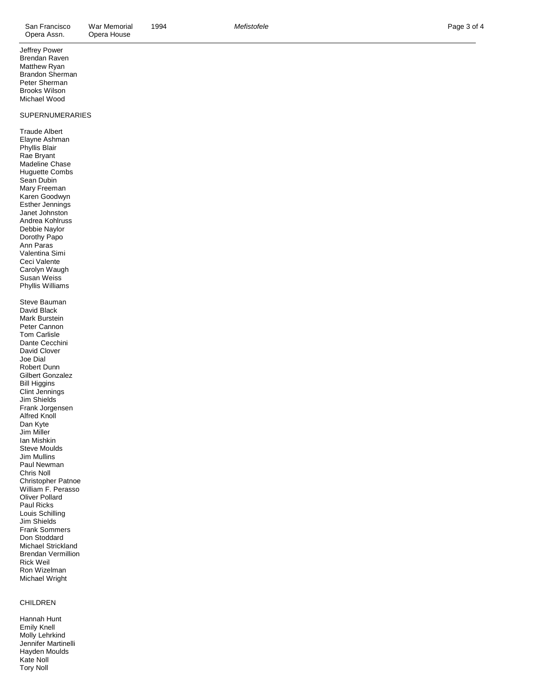| Opera Assn.                                                                                                                                                                                                                                                                                                                                                                                                                                                                                                                                                                                                                                       | Opera House |
|---------------------------------------------------------------------------------------------------------------------------------------------------------------------------------------------------------------------------------------------------------------------------------------------------------------------------------------------------------------------------------------------------------------------------------------------------------------------------------------------------------------------------------------------------------------------------------------------------------------------------------------------------|-------------|
| Jeffrey Power<br>Brendan Raven<br>Matthew Ryan<br>Brandon Sherman<br>Peter Sherman<br><b>Brooks Wilson</b><br>Michael Wood                                                                                                                                                                                                                                                                                                                                                                                                                                                                                                                        |             |
| <b>SUPERNUMERARIES</b>                                                                                                                                                                                                                                                                                                                                                                                                                                                                                                                                                                                                                            |             |
| <b>Traude Albert</b><br>Elayne Ashman<br>Phyllis Blair<br>Rae Bryant<br>Madeline Chase<br><b>Huguette Combs</b><br>Sean Dubin<br>Mary Freeman<br>Karen Goodwyn<br>Esther Jennings<br>Janet Johnston<br>Andrea Kohlruss<br>Debbie Naylor<br>Dorothy Papo<br>Ann Paras<br>Valentina Simi<br>Ceci Valente<br>Carolyn Waugh                                                                                                                                                                                                                                                                                                                           |             |
| Susan Weiss<br>Phyllis Williams                                                                                                                                                                                                                                                                                                                                                                                                                                                                                                                                                                                                                   |             |
| Steve Bauman<br>David Black<br>Mark Burstein<br>Peter Cannon<br>Tom Carlisle<br>Dante Cecchini<br>David Clover<br>Joe Dial<br>Robert Dunn<br><b>Gilbert Gonzalez</b><br><b>Bill Higgins</b><br>Clint Jennings<br>Jim Shields<br>Frank Jorgensen<br><b>Alfred Knoll</b><br>Dan Kyte<br>Jim Miller<br>Ian Mishkin<br>Steve Moulds<br><b>Jim Mullins</b><br>Paul Newman<br>Chris Noll<br>Christopher Patnoe<br>William F. Perasso<br>Oliver Pollard<br>Paul Ricks<br>Louis Schilling<br>Jim Shields<br><b>Frank Sommers</b><br>Don Stoddard<br>Michael Strickland<br><b>Brendan Vermillion</b><br><b>Rick Weil</b><br>Ron Wizelman<br>Michael Wright |             |
| <b>CHILDREN</b>                                                                                                                                                                                                                                                                                                                                                                                                                                                                                                                                                                                                                                   |             |
| Hannah Hunt<br>Emily Knell                                                                                                                                                                                                                                                                                                                                                                                                                                                                                                                                                                                                                        |             |

Mefistofele

Molly Lehrkind Jennifer Martinelli Hayden Moulds Kate Noll Tory Noll